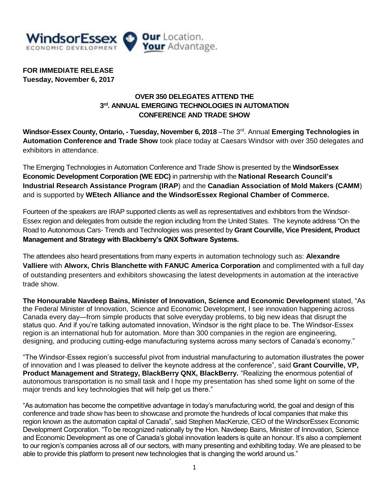

**FOR IMMEDIATE RELEASE Tuesday, November 6, 2017**

## **OVER 350 DELEGATES ATTEND THE 3 rd. ANNUAL EMERGING TECHNOLOGIES IN AUTOMATION CONFERENCE AND TRADE SHOW**

**Windsor-Essex County, Ontario, - Tuesday, November 6, 2018** –The 3<sup>rd</sup>. Annual **Emerging Technologies in Automation Conference and Trade Show** took place today at Caesars Windsor with over 350 delegates and exhibitors in attendance.

The Emerging Technologies in Automation Conference and Trade Show is presented by the **WindsorEssex Economic Development Corporation (WE EDC)** in partnership with the **National Research Council's Industrial Research Assistance Program (IRAP**) and the **Canadian Association of Mold Makers (CAMM**) and is supported by **WEtech Alliance and the WindsorEssex Regional Chamber of Commerce.**

Fourteen of the speakers are IRAP supported clients as well as representatives and exhibitors from the Windsor-Essex region and delegates from outside the region including from the United States. The keynote address "On the Road to Autonomous Cars- Trends and Technologies was presented by **Grant Courville, Vice President, Product Management and Strategy with Blackberry's QNX Software Systems.**

The attendees also heard presentations from many experts in automation technology such as: **Alexandre Valliere** with **Alworx, Chris Blanchette with FANUC America Corporation** and complimented with a full day of outstanding presenters and exhibitors showcasing the latest developments in automation at the interactive trade show.

**The Honourable Navdeep Bains, Minister of Innovation, Science and Economic Developmen**t stated, "As the Federal Minister of Innovation, Science and Economic Development, I see innovation happening across Canada every day—from simple products that solve everyday problems, to big new ideas that disrupt the status quo. And if you're talking automated innovation, Windsor is the right place to be. The Windsor-Essex region is an international hub for automation. More than 300 companies in the region are engineering, designing, and producing cutting-edge manufacturing systems across many sectors of Canada's economy."

"The Windsor-Essex region's successful pivot from industrial manufacturing to automation illustrates the power of innovation and I was pleased to deliver the keynote address at the conference", said **Grant Courville, VP, Product Management and Strategy, BlackBerry QNX, BlackBerry.** "Realizing the enormous potential of autonomous transportation is no small task and I hope my presentation has shed some light on some of the major trends and key technologies that will help get us there."

"As automation has become the competitive advantage in today's manufacturing world, the goal and design of this conference and trade show has been to showcase and promote the hundreds of local companies that make this region known as the automation capital of Canada", said Stephen MacKenzie, CEO of the WindsorEssex Economic Development Corporation. "To be recognized nationally by the Hon. Navdeep Bains, Minister of Innovation, Science and Economic Development as one of Canada's global innovation leaders is quite an honour. It's also a complement to our region's companies across all of our sectors, with many presenting and exhibiting today. We are pleased to be able to provide this platform to present new technologies that is changing the world around us."